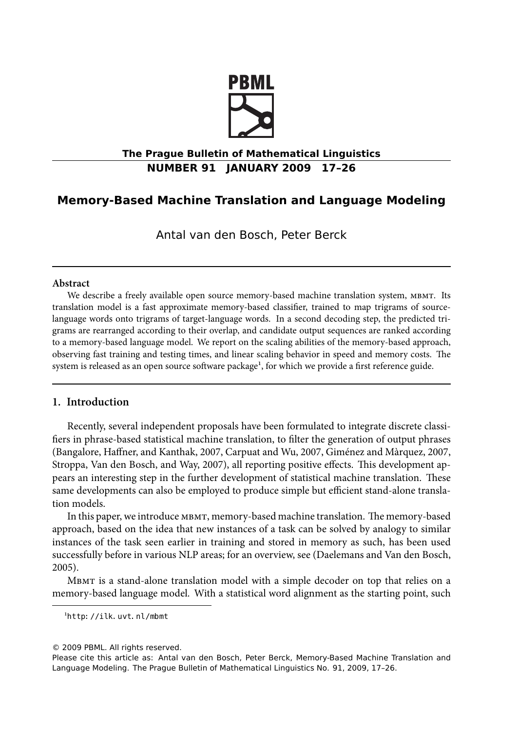

# **The Prague Bulletin of Mathematical Linguistics NUMBER 91 JANUARY 2009 17–26**

# **Memory-Based Machine Translation and Language Modeling**

Antal van den Bosch, Peter Berck

# **Abstract**

We describe a freely available open source memory-based machine translation system, MBMT. Its translation model is a fast approximate memory-based classifier, trained to map trigrams of sourcelanguage words onto trigrams of target-language words. In a second decoding step, the predicted trigrams are rearranged according to their overlap, and candidate output sequences are ranked according to a memory-based language model. We report on the scaling abilities of the memory-based approach, observing fast training and testing times, and linear scaling behavior in speed and memory costs. The system is released as an open source software package<sup>1</sup>, for which we provide a first reference guide.

# **1. Introduction**

Recently, several independent proposals have been formulated to integrate discrete classifiers in phrase-based statistical machine translation, to filter the generation of output phrases (Bangalore, Haffner, and Kanthak, 2007, Carpuat and Wu, 2007, Giménez and Màrquez, 2007, Stroppa, Van den Bosch, and Way, 2007), all reporting positive effects. This development appears an interesting step in the further development of statistical machine translation. These same developments can also be employed to produce simple but efficient stand-alone translation models.

In this paper, we introduce мвмт, memory-based machine translation. The memory-based approach, based on the idea that new instances of a task can be solved by analogy to similar instances of the task seen earlier in training and stored in memory as such, has been used successfully before in various NLP areas; for an overview, see (Daelemans and Van den Bosch, 2005).

MBMT is a stand-alone translation model with a simple decoder on top that relies on a memory-based language model. With a statistical word alignment as the starting point, such

<sup>&</sup>lt;sup>1</sup>http://ilk.uvt.nl/mbmt

<sup>© 2009</sup> PBML. All rights reserved.

Please cite this article as: Antal van den Bosch, Peter Berck, Memory-Based Machine Translation and Language Modeling. The Prague Bulletin of Mathematical Linguistics No. 91, 2009, 17–26.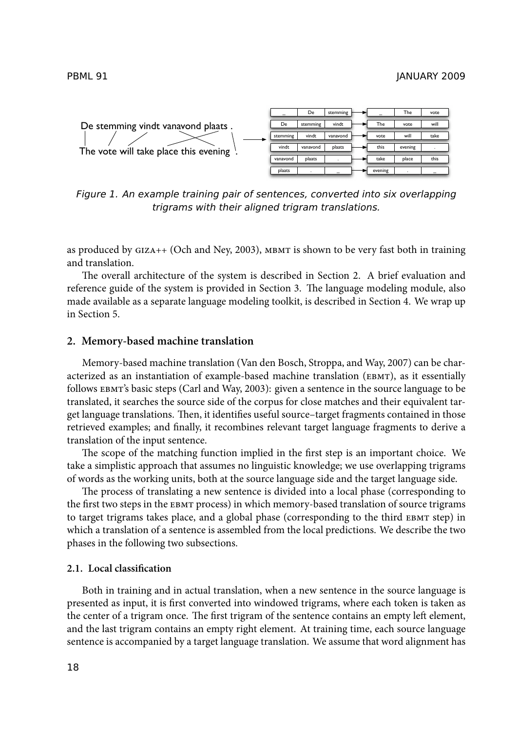

*Figure 1. An example training pair of sentences, converted into six overlapping trigrams with their aligned trigram translations.*

as produced by  $GIZA++$  (Och and Ney, 2003),  $MBMT$  is shown to be very fast both in training and translation.

The overall architecture of the system is described in Section 2. A brief evaluation and reference guide of the system is provided in Section 3. The language modeling module, also made available as a separate language modeling toolkit, is described in Section 4. We wrap up in Section 5.

#### **2. Memory-based machine translation**

Memory-based machine translation (Van den Bosch, Stroppa, and Way, 2007) can be characterized as an instantiation of example-based machine translation (EBMT), as it essentially follows EBMT's basic steps (Carl and Way, 2003): given a sentence in the source language to be translated, it searches the source side of the corpus for close matches and their equivalent target language translations. Then, it identifies useful source–target fragments contained in those retrieved examples; and finally, it recombines relevant target language fragments to derive a translation of the input sentence.

The scope of the matching function implied in the first step is an important choice. We take a simplistic approach that assumes no linguistic knowledge; we use overlapping trigrams of words as the working units, both at the source language side and the target language side.

The process of translating a new sentence is divided into a local phase (corresponding to the first two steps in the EBMT process) in which memory-based translation of source trigrams to target trigrams takes place, and a global phase (corresponding to the third EBMT step) in which a translation of a sentence is assembled from the local predictions. We describe the two phases in the following two subsections.

# **2.1. Local classification**

Both in training and in actual translation, when a new sentence in the source language is presented as input, it is first converted into windowed trigrams, where each token is taken as the center of a trigram once. The first trigram of the sentence contains an empty left element, and the last trigram contains an empty right element. At training time, each source language sentence is accompanied by a target language translation. We assume that word alignment has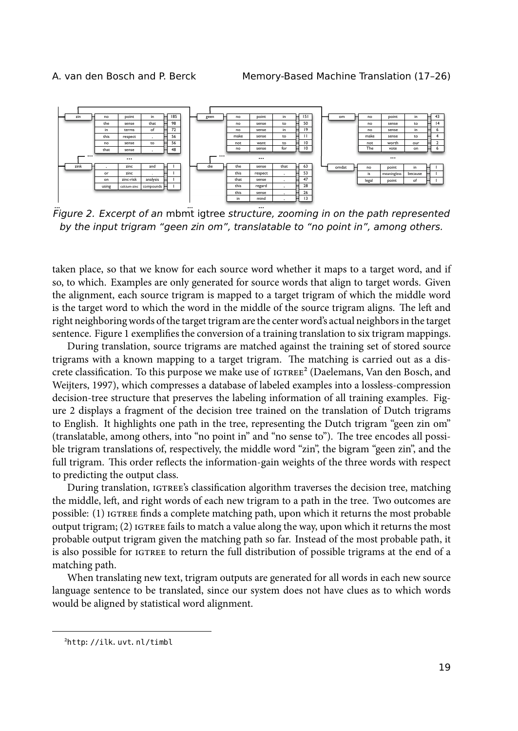

... ... ... *Figure 2. Excerpt of an* mbmt igtree *structure, zooming in on the path represented by the input trigram "geen zin om", translatable to "no point in", among others.*

taken place, so that we know for each source word whether it maps to a target word, and if so, to which. Examples are only generated for source words that align to target words. Given the alignment, each source trigram is mapped to a target trigram of which the middle word is the target word to which the word in the middle of the source trigram aligns. The left and right neighboring words of the target trigram are the center word's actual neighbors in the target sentence. Figure 1 exemplifies the conversion of a training translation to six trigram mappings.

During translation, source trigrams are matched against the training set of stored source trigrams with a known mapping to a target trigram. The matching is carried out as a discrete classification. To this purpose we make use of  $i$  ( $i$ Greenans, Van den Bosch, and Weijters, 1997), which compresses a database of labeled examples into a lossless-compression decision-tree structure that preserves the labeling information of all training examples. Figure 2 displays a fragment of the decision tree trained on the translation of Dutch trigrams to English. It highlights one path in the tree, representing the Dutch trigram "geen zin om" (translatable, among others, into "no point in" and "no sense to"). The tree encodes all possible trigram translations of, respectively, the middle word "zin", the bigram "geen zin", and the full trigram. This order reflects the information-gain weights of the three words with respect to predicting the output class.

During translation, IGTREE's classification algorithm traverses the decision tree, matching the middle, left, and right words of each new trigram to a path in the tree. Two outcomes are possible: (1) IGTREE finds a complete matching path, upon which it returns the most probable output trigram; (2) IGTREE fails to match a value along the way, upon which it returns the most probable output trigram given the matching path so far. Instead of the most probable path, it is also possible for to return the full distribution of possible trigrams at the end of a matching path.

When translating new text, trigram outputs are generated for all words in each new source language sentence to be translated, since our system does not have clues as to which words would be aligned by statistical word alignment.

²http://ilk.uvt.nl/timbl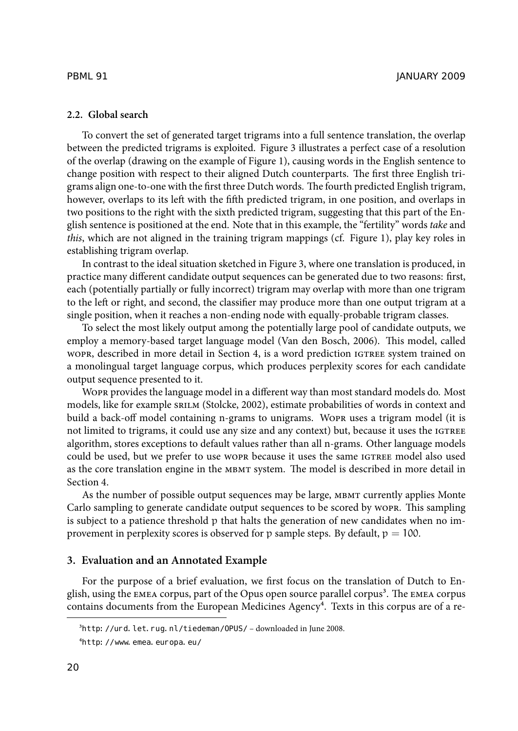# **2.2. Global search**

To convert the set of generated target trigrams into a full sentence translation, the overlap between the predicted trigrams is exploited. Figure 3 illustrates a perfect case of a resolution of the overlap (drawing on the example of Figure 1), causing words in the English sentence to change position with respect to their aligned Dutch counterparts. The first three English trigrams align one-to-one with the first three Dutch words. The fourth predicted English trigram, however, overlaps to its left with the fifth predicted trigram, in one position, and overlaps in two positions to the right with the sixth predicted trigram, suggesting that this part of the English sentence is positioned at the end. Note that in this example, the "fertility" words *take* and *this*, which are not aligned in the training trigram mappings (cf. Figure 1), play key roles in establishing trigram overlap.

In contrast to the ideal situation sketched in Figure 3, where one translation is produced, in practice many different candidate output sequences can be generated due to two reasons: first, each (potentially partially or fully incorrect) trigram may overlap with more than one trigram to the left or right, and second, the classifier may produce more than one output trigram at a single position, when it reaches a non-ending node with equally-probable trigram classes.

To select the most likely output among the potentially large pool of candidate outputs, we employ a memory-based target language model (Van den Bosch, 2006). This model, called wopr, described in more detail in Section 4, is a word prediction IGTREE system trained on a monolingual target language corpus, which produces perplexity scores for each candidate output sequence presented to it.

WOPR provides the language model in a different way than most standard models do. Most models, like for example SRILM (Stolcke, 2002), estimate probabilities of words in context and build a back-off model containing n-grams to unigrams. Wopk uses a trigram model (it is not limited to trigrams, it could use any size and any context) but, because it uses the algorithm, stores exceptions to default values rather than all n-grams. Other language models could be used, but we prefer to use wopp because it uses the same **IGTREE** model also used as the core translation engine in the MBMT system. The model is described in more detail in Section 4.

As the number of possible output sequences may be large, MBMT currently applies Monte Carlo sampling to generate candidate output sequences to be scored by WOPR. This sampling is subject to a patience threshold p that halts the generation of new candidates when no improvement in perplexity scores is observed for p sample steps. By default,  $p = 100$ .

#### **3. Evaluation and an Annotated Example**

For the purpose of a brief evaluation, we first focus on the translation of Dutch to English, using the  $EMEA$  corpus, part of the Opus open source parallel corpus<sup>3</sup>. The  $EMEA$  corpus contains documents from the European Medicines Agency<sup>4</sup>. Texts in this corpus are of a re-

<sup>&</sup>lt;sup>3</sup>http://urd.let.rug.nl/tiedeman/OPUS/ – downloaded in June 2008.

⁴http://www.emea.europa.eu/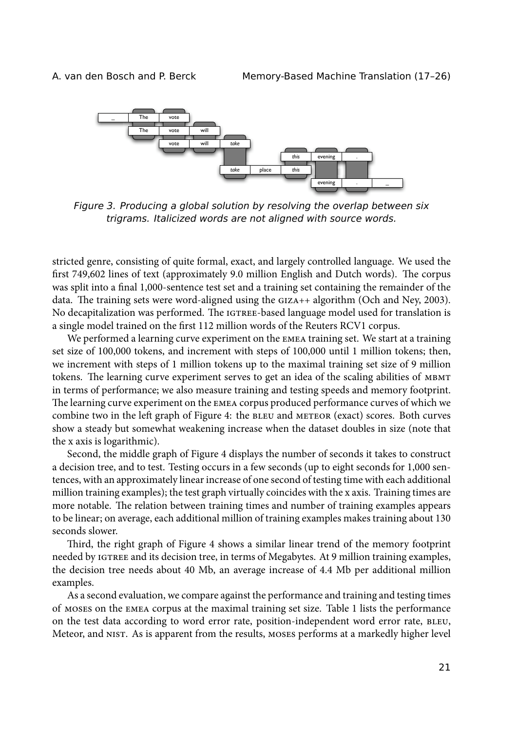

*Figure 3. Producing a global solution by resolving the overlap between six trigrams. Italicized words are not aligned with source words.*

stricted genre, consisting of quite formal, exact, and largely controlled language. We used the first 749,602 lines of text (approximately 9.0 million English and Dutch words). The corpus was split into a final 1,000-sentence test set and a training set containing the remainder of the data. The training sets were word-aligned using the  $GIZA++$  algorithm (Och and Ney, 2003). No decapitalization was performed. The IGTREE-based language model used for translation is a single model trained on the first 112 million words of the Reuters RCV1 corpus.

We performed a learning curve experiment on the EMEA training set. We start at a training set size of 100,000 tokens, and increment with steps of 100,000 until 1 million tokens; then, we increment with steps of 1 million tokens up to the maximal training set size of 9 million tokens. The learning curve experiment serves to get an idea of the scaling abilities of MBMT in terms of performance; we also measure training and testing speeds and memory footprint. The learning curve experiment on the EMEA corpus produced performance curves of which we combine two in the left graph of Figure 4: the BLEU and METEOR (exact) scores. Both curves show a steady but somewhat weakening increase when the dataset doubles in size (note that the x axis is logarithmic).

Second, the middle graph of Figure 4 displays the number of seconds it takes to construct a decision tree, and to test. Testing occurs in a few seconds (up to eight seconds for 1,000 sentences, with an approximately linear increase of one second of testing time with each additional million training examples); the test graph virtually coincides with the x axis. Training times are more notable. The relation between training times and number of training examples appears to be linear; on average, each additional million of training examples makes training about 130 seconds slower.

Third, the right graph of Figure 4 shows a similar linear trend of the memory footprint needed by IGTREE and its decision tree, in terms of Megabytes. At 9 million training examples, the decision tree needs about 40 Mb, an average increase of 4.4 Mb per additional million examples.

As a second evaluation, we compare against the performance and training and testing times of on the corpus at the maximal training set size. Table 1 lists the performance on the test data according to word error rate, position-independent word error rate, BLEU, Meteor, and NIST. As is apparent from the results, MOSES performs at a markedly higher level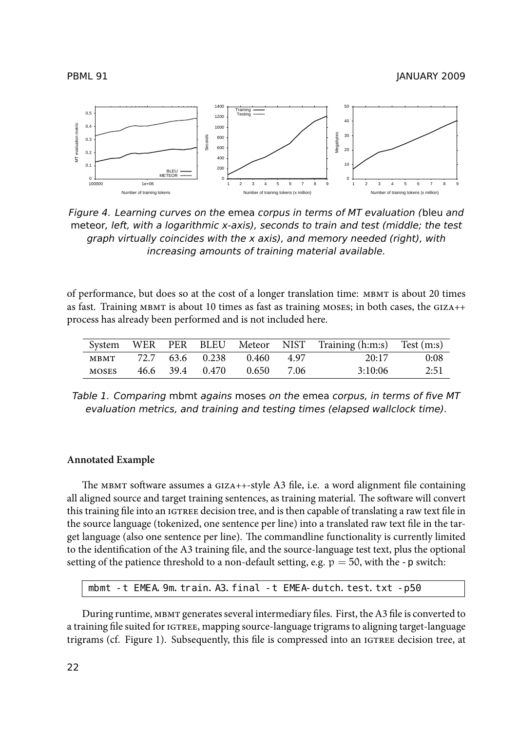PBML 91 JANUARY 2009



*Figure 4. Learning curves on the* emea *corpus in terms of MT evaluation (*bleu *and* meteor*, left, with a logarithmic x-axis), seconds to train and test (middle; the test graph virtually coincides with the x axis), and memory needed (right), with increasing amounts of training material available.*

of performance, but does so at the cost of a longer translation time: is about 20 times as fast. Training MBMT is about 10 times as fast as training MOSES; in both cases, the  $GIZA++$ process has already been performed and is not included here.

|       |  |                 |            |      | System WER PER BLEU Meteor NIST Training (h:m:s) Test (m:s) |      |
|-------|--|-----------------|------------|------|-------------------------------------------------------------|------|
| MBMT  |  | 72.7 63.6 0.238 | 0.460 4.97 |      | 20:17                                                       | 0:08 |
| MOSES |  | 46.6 39.4 0.470 | 0.650      | 7.06 | 3:10:06                                                     | 2:51 |

*Table 1. Comparing* mbmt *agains* moses *on the* emea *corpus, in terms of five MT evaluation metrics, and training and testing times (elapsed wallclock time).*

#### **Annotated Example**

The MBMT software assumes a GIZA++-style A3 file, i.e. a word alignment file containing all aligned source and target training sentences, as training material. The software will convert this training file into an IGTREE decision tree, and is then capable of translating a raw text file in the source language (tokenized, one sentence per line) into a translated raw text file in the target language (also one sentence per line). The commandline functionality is currently limited to the identification of the A3 training file, and the source-language test text, plus the optional setting of the patience threshold to a non-default setting, e.g.  $p = 50$ , with the -p switch:

mbmt -t EMEA. 9m. train. A3. final -t EMEA-dutch. test. txt -p50

During runtime, MBMT generates several intermediary files. First, the A3 file is converted to a training file suited for IGTREE, mapping source-language trigrams to aligning target-language trigrams (cf. Figure 1). Subsequently, this file is compressed into an *IGTREE* decision tree, at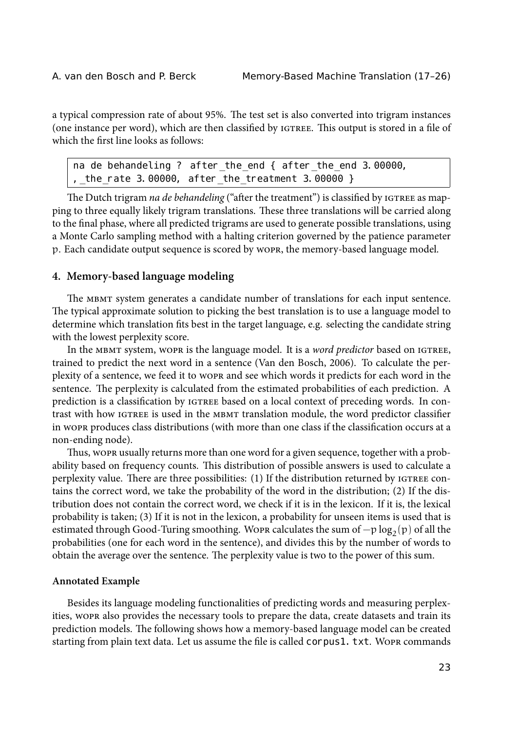a typical compression rate of about 95%. The test set is also converted into trigram instances (one instance per word), which are then classified by IGTREE. This output is stored in a file of which the first line looks as follows:

na de behandeling ? after\_the\_end { after\_the\_end 3.00000, ,\_the\_rate 3.00000, after\_the\_treatment 3.00000 }

The Dutch trigram *na de behandeling* ("after the treatment") is classified by IGTREE as mapping to three equally likely trigram translations. These three translations will be carried along to the final phase, where all predicted trigrams are used to generate possible translations, using a Monte Carlo sampling method with a halting criterion governed by the patience parameter p. Each candidate output sequence is scored by wopp, the memory-based language model.

#### **4. Memory-based language modeling**

The MBMT system generates a candidate number of translations for each input sentence. The typical approximate solution to picking the best translation is to use a language model to determine which translation fits best in the target language, e.g. selecting the candidate string with the lowest perplexity score.

In the MBMT system, WOPR is the language model. It is a *word predictor* based on IGTREE, trained to predict the next word in a sentence (Van den Bosch, 2006). To calculate the perplexity of a sentence, we feed it to work and see which words it predicts for each word in the sentence. The perplexity is calculated from the estimated probabilities of each prediction. A prediction is a classification by  $I$ GTREE based on a local context of preceding words. In contrast with how IGTREE is used in the MBMT translation module, the word predictor classifier in wopk produces class distributions (with more than one class if the classification occurs at a non-ending node).

Thus, wopk usually returns more than one word for a given sequence, together with a probability based on frequency counts. This distribution of possible answers is used to calculate a perplexity value. There are three possibilities:  $(1)$  If the distribution returned by  $IGTREE$  contains the correct word, we take the probability of the word in the distribution; (2) If the distribution does not contain the correct word, we check if it is in the lexicon. If it is, the lexical probability is taken; (3) If it is not in the lexicon, a probability for unseen items is used that is estimated through Good-Turing smoothing. Wo ${\tt p}$  calculates the sum of  $-{\tt p}\log_2({\tt p})$  of all the probabilities (one for each word in the sentence), and divides this by the number of words to obtain the average over the sentence. The perplexity value is two to the power of this sum.

#### **Annotated Example**

Besides its language modeling functionalities of predicting words and measuring perplexities, wopk also provides the necessary tools to prepare the data, create datasets and train its prediction models. The following shows how a memory-based language model can be created starting from plain text data. Let us assume the file is called corpus1. txt. Work commands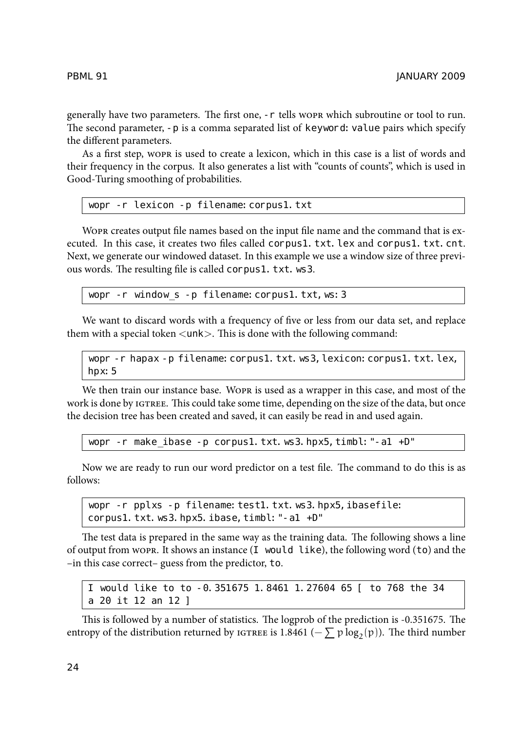generally have two parameters. The first one, -r tells work which subroutine or tool to run. The second parameter, - p is a comma separated list of keyword: value pairs which specify the different parameters.

As a first step, work is used to create a lexicon, which in this case is a list of words and their frequency in the corpus. It also generates a list with "counts of counts", which is used in Good-Turing smoothing of probabilities.

```
wopr -r lexicon -p filename: corpus1.txt
```
WOPR creates output file names based on the input file name and the command that is executed. In this case, it creates two files called corpus1. txt. lex and corpus1. txt. cnt. Next, we generate our windowed dataset. In this example we use a window size of three previous words. The resulting file is called corpus1. txt. ws3.

wopr -r window s -p filename: corpus1.txt, ws: 3

We want to discard words with a frequency of five or less from our data set, and replace them with a special token  $\langle$ unk $\rangle$ . This is done with the following command:

wopr -r hapax -p filename: corpus1.txt.ws3, lexicon: corpus1.txt.lex, hpx:5

We then train our instance base. WOPR is used as a wrapper in this case, and most of the work is done by IGTREE. This could take some time, depending on the size of the data, but once the decision tree has been created and saved, it can easily be read in and used again.

wopr -r make\_ibase -p corpus1.txt.ws3.hpx5,timbl:"-a1 +D"

Now we are ready to run our word predictor on a test file. The command to do this is as follows:

wopr -r pplxs -p filename: test1.txt.ws3.hpx5,ibasefile: corpus1. txt. ws3. hpx5. ibase, timbl: "-a1 +D"

The test data is prepared in the same way as the training data. The following shows a line of output from work. It shows an instance  $(I \text{ would like}),$  the following word  $(to)$  and the –in this case correct– guess from the predictor, to.

I would like to to -0.351675 1.8461 1.27604 65 [ to 768 the 34 a 20 it 12 an 12 ]

This is followed by a number of statistics. The logprob of the prediction is -0.351675. The entropy of the distribution returned by 1GTREE is 1.8461 ( $-\sum p \log_2(p)$ ). The third number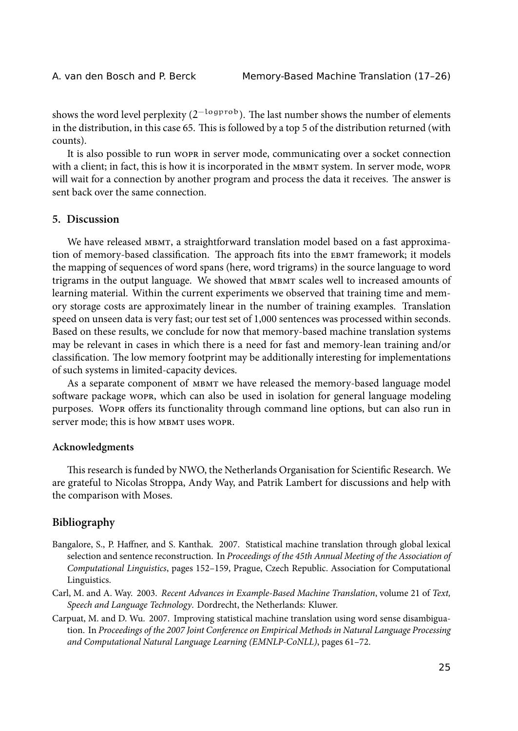shows the word level perplexity (2 $^{-\rm logprob}$ ). The last number shows the number of elements in the distribution, in this case 65. This is followed by a top 5 of the distribution returned (with counts).

It is also possible to run wopk in server mode, communicating over a socket connection with a client; in fact, this is how it is incorporated in the MBMT system. In server mode, wopre will wait for a connection by another program and process the data it receives. The answer is sent back over the same connection.

### **5. Discussion**

We have released MBMT, a straightforward translation model based on a fast approximation of memory-based classification. The approach fits into the EBMT framework; it models the mapping of sequences of word spans (here, word trigrams) in the source language to word trigrams in the output language. We showed that MBMT scales well to increased amounts of learning material. Within the current experiments we observed that training time and memory storage costs are approximately linear in the number of training examples. Translation speed on unseen data is very fast; our test set of 1,000 sentences was processed within seconds. Based on these results, we conclude for now that memory-based machine translation systems may be relevant in cases in which there is a need for fast and memory-lean training and/or classification. The low memory footprint may be additionally interesting for implementations of such systems in limited-capacity devices.

As a separate component of MBMT we have released the memory-based language model software package wopp, which can also be used in isolation for general language modeling purposes. WOPR offers its functionality through command line options, but can also run in server mode; this is how MBMT uses WOPR.

#### **Acknowledgments**

This research is funded by NWO, the Netherlands Organisation for Scientific Research. We are grateful to Nicolas Stroppa, Andy Way, and Patrik Lambert for discussions and help with the comparison with Moses.

## **Bibliography**

- Bangalore, S., P. Haffner, and S. Kanthak. 2007. Statistical machine translation through global lexical selection and sentence reconstruction. In *Proceedings of the 45th Annual Meeting of the Association of Computational Linguistics*, pages 152–159, Prague, Czech Republic. Association for Computational Linguistics.
- Carl, M. and A. Way. 2003. *Recent Advances in Example-Based Machine Translation*, volume 21 of *Text, Speech and Language Technology*. Dordrecht, the Netherlands: Kluwer.
- Carpuat, M. and D. Wu. 2007. Improving statistical machine translation using word sense disambiguation. In *Proceedings of the 2007 Joint Conference on Empirical Methods in Natural Language Processing and Computational Natural Language Learning (EMNLP-CoNLL)*, pages 61–72.